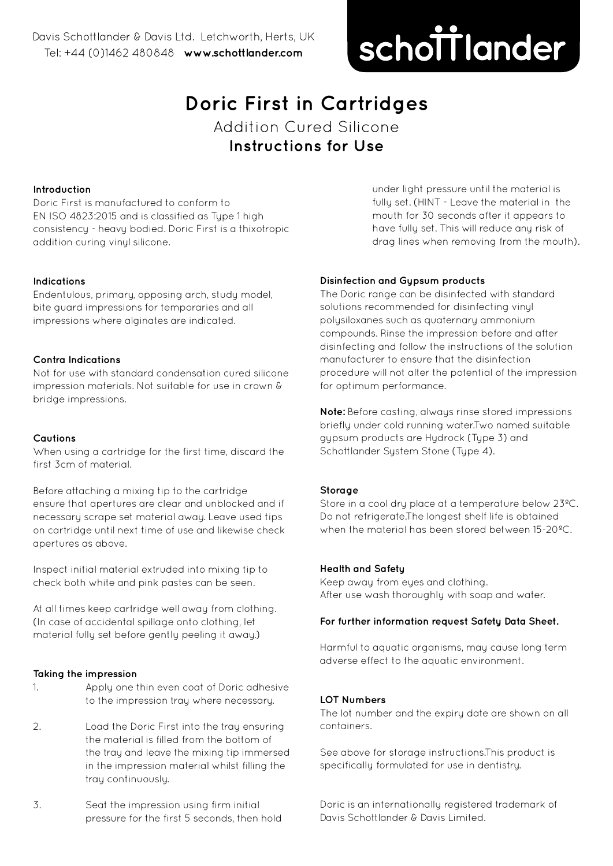# **improving dentistry together**

# **Doric First in Cartridges** Addition Cured Silicone **Instructions for Use**

# **Introduction**

Doric First is manufactured to conform to EN ISO 4823:2015 and is classified as Tupe 1 high consistency - heavy bodied. Doric First is a thixotropic addition curing vinyl silicone.

#### **Indications**

Endentulous, primary, opposing arch, study model, bite guard impressions for temporaries and all impressions where alginates are indicated.

# **Contra Indications**

Not for use with standard condensation cured silicone impression materials. Not suitable for use in crown & bridge impressions.

#### **Cautions**

When using a cartridge for the first time, discard the first 3cm of material.

Before attaching a mixing tip to the cartridge ensure that apertures are clear and unblocked and if necessary scrape set material away. Leave used tips on cartridge until next time of use and likewise check apertures as above.

Inspect initial material extruded into mixing tip to check both white and pink pastes can be seen.

At all times keep cartridge well away from clothing. (In case of accidental spillage onto clothing, let material fully set before gently peeling it away.)

#### **Taking the impression**

- 1. Apply one thin even coat of Doric adhesive to the impression tray where necessary.
- 2. Load the Doric First into the tray ensuring the material is filled from the bottom of the tray and leave the mixing tip immersed in the impression material whilst filling the trau continuouslu.
- 3. Seat the impression using firm initial pressure for the first 5 seconds, then hold

under light pressure until the material is fully set. (HINT - Leave the material in the mouth for 30 seconds after it appears to have fully set. This will reduce any risk of drag lines when removing from the mouth).

# **Disinfection and Gypsum products**

The Doric range can be disinfected with standard solutions recommended for disinfecting vinyl polysiloxanes such as quaternary ammonium compounds. Rinse the impression before and after disinfecting and follow the instructions of the solution manufacturer to ensure that the disinfection procedure will not alter the potential of the impression for optimum performance.

**Note:** Before casting, always rinse stored impressions briefly under cold running water.Two named suitable gypsum products are Hydrock (Type 3) and Schottlander System Stone (Type 4).

#### **Storage**

Store in a cool dry place at a temperature below 23ºC. Do not refrigerate.The longest shelf life is obtained when the material has been stored between 15-20ºC.

# **Health and Safety**

Keep away from eyes and clothing. After use wash thoroughly with soap and water.

#### **For further information request Safety Data Sheet.**

Harmful to aquatic organisms, may cause long term adverse effect to the aquatic environment.

### **LOT Numbers**

The lot number and the expiry date are shown on all containers.

See above for storage instructions.This product is specifically formulated for use in dentistry.

Doric is an internationally registered trademark of Davis Schottlander & Davis Limited.